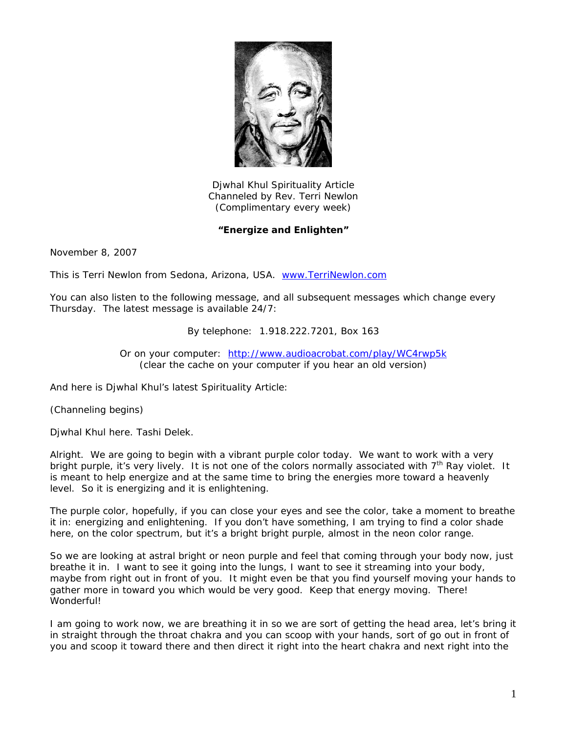

Djwhal Khul Spirituality Article Channeled by Rev. Terri Newlon (Complimentary every week)

## **"Energize and Enlighten"**

November 8, 2007

This is Terri Newlon from Sedona, Arizona, USA. [www.TerriNewlon.com](http://www.terrinewlon.com/) 

You can also listen to the following message, and all subsequent messages which change every Thursday. The latest message is available 24/7:

By telephone: 1.918.222.7201, Box 163

Or on your computer: <http://www.audioacrobat.com/play/WC4rwp5k> (clear the cache on your computer if you hear an old version)

And here is Djwhal Khul's latest Spirituality Article:

(Channeling begins)

Djwhal Khul here. Tashi Delek.

Alright. We are going to begin with a vibrant purple color today. We want to work with a very bright purple, it's very lively. It is not one of the colors normally associated with 7<sup>th</sup> Ray violet. It is meant to help energize and at the same time to bring the energies more toward a heavenly level. So it is energizing and it is enlightening.

The purple color, hopefully, if you can close your eyes and see the color, take a moment to breathe it in: energizing and enlightening. If you don't have something, I am trying to find a color shade here, on the color spectrum, but it's a bright bright purple, almost in the neon color range.

So we are looking at astral bright or neon purple and feel that coming through your body now, just breathe it in. I want to see it going into the lungs, I want to see it streaming into your body, maybe from right out in front of you. It might even be that you find yourself moving your hands to gather more in toward you which would be very good. Keep that energy moving. There! Wonderful!

I am going to work now, we are breathing it in so we are sort of getting the head area, let's bring it in straight through the throat chakra and you can scoop with your hands, sort of go out in front of you and scoop it toward there and then direct it right into the heart chakra and next right into the